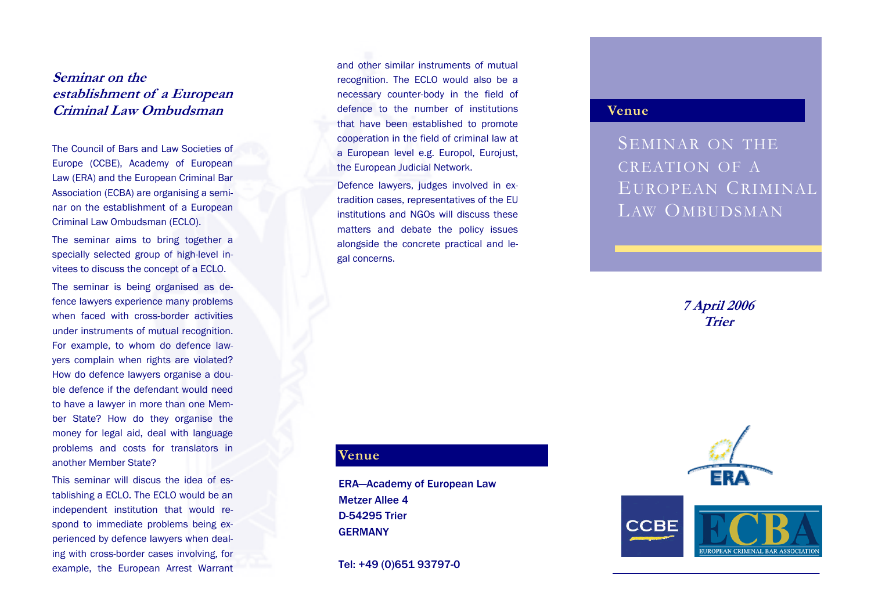## **Seminar on the establishment of a European Criminal Law Ombudsman**

The Council of Bars and Law Societies of Europe (CCBE), Academy of European Law (ERA) and the European Criminal Bar Association (ECBA) are organising a seminar on the establishment of a European Criminal Law Ombudsman (ECLO).

The seminar aims to bring together a specially selected group of high-level invitees to discuss the concept of a ECLO.

The seminar is being organised as defence lawyers experience many problems when faced with cross-border activities under instruments of mutual recognition. For example, to whom do defence lawyers complain when rights are violated? How do defence lawyers organise a double defence if the defendant would need to have a lawyer in more than one Member State? How do they organise the money for legal aid, deal with language problems and costs for translators in another Member State?

This seminar will discus the idea of establishing a ECLO. The ECLO would be an independent institution that would respond to immediate problems being experienced by defence lawyers when dealing with cross-border cases involving, for example, the European Arrest Warrant and other similar instruments of mutual recognition. The ECLO would also be a necessary counter-body in the field of defence to the number of institutions that have been established to promote cooperation in the field of criminal law at a European level e.g. Europol, Eurojust, the European Judicial Network.

Defence lawyers, judges involved in extradition cases, representatives of the EU institutions and NGOs will discuss these matters and debate the policy issues alongside the concrete practical and legal concerns.

### **Venue**

SEMINAR ON THE CREATION OF AEUROPEAN CRIMINALLAW OMBUDSMAN

> **7 April 2006 Trier**



**UROPEAN CRIMINAL BAR ASSOCI** 

#### **Venue**

ERA—Academy of European Law Metzer Allee 4 D-54295 Trier GERMANY

Tel: +49 (0)651 93797-0